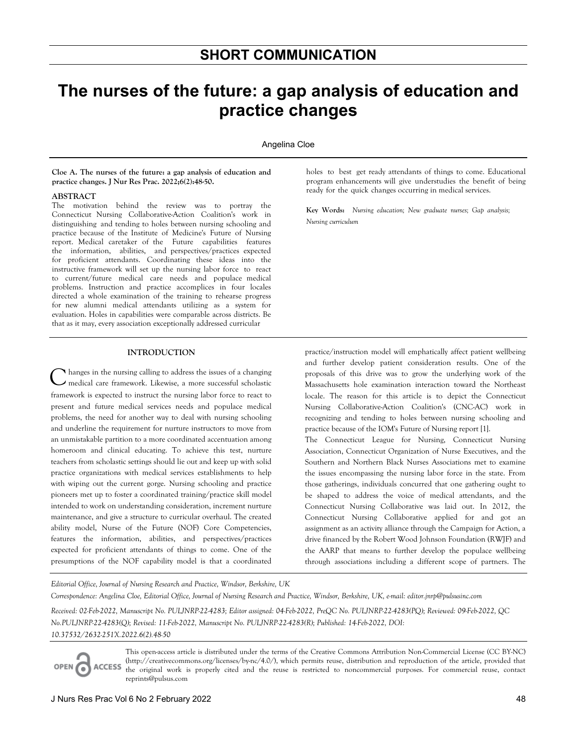# **The nurses of the future: a gap analysis of education and practice changes**

Angelina Cloe

**Cloe A. The nurses of the future: a gap analysis of education and practice changes. J Nur Res Prac. 2022;6(2):48-50.** 

#### **ABSTRACT**

The motivation behind the review was to portray the Connecticut Nursing Collaborative-Action Coalition's work in distinguishing and tending to holes between nursing schooling and practice because of the Institute of Medicine's Future of Nursing report. Medical caretaker of the Future capabilities features the information, abilities, and perspectives/practices expected for proficient attendants. Coordinating these ideas into the instructive framework will set up the nursing labor force to react to current/future medical care needs and populace medical problems. Instruction and practice accomplices in four locales directed a whole examination of the training to rehearse progress for new alumni medical attendants utilizing as a system for evaluation. Holes in capabilities were comparable across districts. Be that as it may, every association exceptionally addressed curricular

#### **INTRODUCTION**

hanges in the nursing calling to address the issues of a changing medical care framework. Likewise, a more successful scholastic framework is expected to instruct the nursing labor force to react to present and future medical services needs and populace medical problems, the need for another way to deal with nursing schooling and underline the requirement for nurture instructors to move from an unmistakable partition to a more coordinated accentuation among homeroom and clinical educating. To achieve this test, nurture teachers from scholastic settings should lie out and keep up with solid practice organizations with medical services establishments to help with wiping out the current gorge. Nursing schooling and practice pioneers met up to foster a coordinated training/practice skill model intended to work on understanding consideration, increment nurture maintenance, and give a structure to curricular overhaul. The created ability model, Nurse of the Future (NOF) Core Competencies, features the information, abilities, and perspectives/practices expected for proficient attendants of things to come. One of the presumptions of the NOF capability model is that a coordinated C

holes to best get ready attendants of things to come. Educational program enhancements will give understudies the benefit of being ready for the quick changes occurring in medical services.

**Key Words:** *Nursing education; New graduate nurses; Gap analysis; Nursing curriculum*

practice/instruction model will emphatically affect patient wellbeing and further develop patient consideration results. One of the proposals of this drive was to grow the underlying work of the Massachusetts hole examination interaction toward the Northeast locale. The reason for this article is to depict the Connecticut Nursing Collaborative-Action Coalition's (CNC-AC) work in recognizing and tending to holes between nursing schooling and practice because of the IOM's Future of Nursing report [1].

The Connecticut League for Nursing, Connecticut Nursing Association, Connecticut Organization of Nurse Executives, and the Southern and Northern Black Nurses Associations met to examine the issues encompassing the nursing labor force in the state. From those gatherings, individuals concurred that one gathering ought to be shaped to address the voice of medical attendants, and the Connecticut Nursing Collaborative was laid out. In 2012, the Connecticut Nursing Collaborative applied for and got an assignment as an activity alliance through the Campaign for Action, a drive financed by the Robert Wood Johnson Foundation (RWJF) and the AARP that means to further develop the populace wellbeing through associations including a different scope of partners. The

*Editorial Office, Journal of Nursing Research and Practice, Windsor, Berkshire, UK Correspondence: Angelina Cloe, Editorial Office, Journal of Nursing Research and Practice, Windsor, Berkshire, UK, e-mail: editor.jnrp@pulsusinc.com* 

*Received: 02-Feb-2022, Manuscript No. PULJNRP-22-4283; Editor assigned: 04-Feb-2022, PreQC No. PULJNRP-22-4283(PQ); Reviewed: 09-Feb-2022, QC No.PULJNRP-22-4283(Q); Revised: 11-Feb-2022, Manuscript No. PULJNRP-22-4283(R); Published: 14-Feb-2022, DOI: 10.37532/2632-251X.2022.6(2).48-50*

**ACCESS** OPEN C

This open-access article is distributed under the terms of the Creative Commons Attribution Non-Commercial License (CC BY-NC) (http://creativecommons.org/licenses/by-nc/4.0/), which permits reuse, distribution and reproduction of the article, provided that the original work is properly cited and the reuse is restricted to noncommercial purposes. For commercial reuse, contact reprints@pulsus.com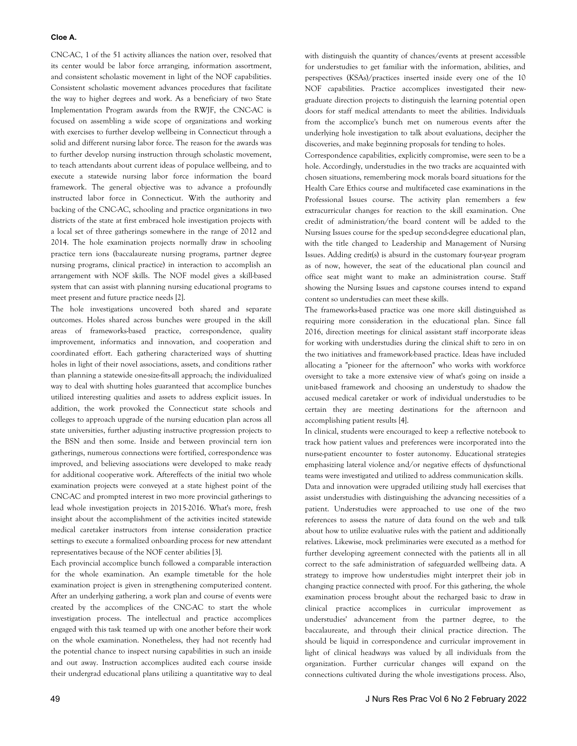## **Cloe A.**

CNC-AC, 1 of the 51 activity alliances the nation over, resolved that its center would be labor force arranging, information assortment, and consistent scholastic movement in light of the NOF capabilities. Consistent scholastic movement advances procedures that facilitate the way to higher degrees and work. As a beneficiary of two State Implementation Program awards from the RWJF, the CNC-AC is focused on assembling a wide scope of organizations and working with exercises to further develop wellbeing in Connecticut through a solid and different nursing labor force. The reason for the awards was to further develop nursing instruction through scholastic movement, to teach attendants about current ideas of populace wellbeing, and to execute a statewide nursing labor force information the board framework. The general objective was to advance a profoundly instructed labor force in Connecticut. With the authority and backing of the CNC-AC, schooling and practice organizations in two districts of the state at first embraced hole investigation projects with a local set of three gatherings somewhere in the range of 2012 and 2014. The hole examination projects normally draw in schooling practice tern ions (baccalaureate nursing programs, partner degree nursing programs, clinical practice) in interaction to accomplish an arrangement with NOF skills. The NOF model gives a skill-based system that can assist with planning nursing educational programs to meet present and future practice needs [2].

The hole investigations uncovered both shared and separate outcomes. Holes shared across bunches were grouped in the skill areas of frameworks-based practice, correspondence, quality improvement, informatics and innovation, and cooperation and coordinated effort. Each gathering characterized ways of shutting holes in light of their novel associations, assets, and conditions rather than planning a statewide one-size-fits-all approach; the individualized way to deal with shutting holes guaranteed that accomplice bunches utilized interesting qualities and assets to address explicit issues. In addition, the work provoked the Connecticut state schools and colleges to approach upgrade of the nursing education plan across all state universities, further adjusting instructive progression projects to the BSN and then some. Inside and between provincial tern ion gatherings, numerous connections were fortified, correspondence was improved, and believing associations were developed to make ready for additional cooperative work. Aftereffects of the initial two whole examination projects were conveyed at a state highest point of the CNC-AC and prompted interest in two more provincial gatherings to lead whole investigation projects in 2015-2016. What's more, fresh insight about the accomplishment of the activities incited statewide medical caretaker instructors from intense consideration practice settings to execute a formalized onboarding process for new attendant representatives because of the NOF center abilities [3].

Each provincial accomplice bunch followed a comparable interaction for the whole examination. An example timetable for the hole examination project is given in strengthening computerized content. After an underlying gathering, a work plan and course of events were created by the accomplices of the CNC-AC to start the whole investigation process. The intellectual and practice accomplices engaged with this task teamed up with one another before their work on the whole examination. Nonetheless, they had not recently had the potential chance to inspect nursing capabilities in such an inside and out away. Instruction accomplices audited each course inside their undergrad educational plans utilizing a quantitative way to deal with distinguish the quantity of chances/events at present accessible for understudies to get familiar with the information, abilities, and perspectives (KSAs)/practices inserted inside every one of the 10 NOF capabilities. Practice accomplices investigated their newgraduate direction projects to distinguish the learning potential open doors for staff medical attendants to meet the abilities. Individuals from the accomplice's bunch met on numerous events after the underlying hole investigation to talk about evaluations, decipher the discoveries, and make beginning proposals for tending to holes.

Correspondence capabilities, explicitly compromise, were seen to be a hole. Accordingly, understudies in the two tracks are acquainted with chosen situations, remembering mock morals board situations for the Health Care Ethics course and multifaceted case examinations in the Professional Issues course. The activity plan remembers a few extracurricular changes for reaction to the skill examination. One credit of administration/the board content will be added to the Nursing Issues course for the sped-up second-degree educational plan, with the title changed to Leadership and Management of Nursing Issues. Adding credit(s) is absurd in the customary four-year program as of now, however, the seat of the educational plan council and office seat might want to make an administration course. Staff showing the Nursing Issues and capstone courses intend to expand content so understudies can meet these skills.

The frameworks-based practice was one more skill distinguished as requiring more consideration in the educational plan. Since fall 2016, direction meetings for clinical assistant staff incorporate ideas for working with understudies during the clinical shift to zero in on the two initiatives and framework-based practice. Ideas have included allocating a "pioneer for the afternoon" who works with workforce oversight to take a more extensive view of what's going on inside a unit-based framework and choosing an understudy to shadow the accused medical caretaker or work of individual understudies to be certain they are meeting destinations for the afternoon and accomplishing patient results [4].

In clinical, students were encouraged to keep a reflective notebook to track how patient values and preferences were incorporated into the nurse-patient encounter to foster autonomy. Educational strategies emphasizing lateral violence and/or negative effects of dysfunctional teams were investigated and utilized to address communication skills. Data and innovation were upgraded utilizing study hall exercises that assist understudies with distinguishing the advancing necessities of a patient. Understudies were approached to use one of the two references to assess the nature of data found on the web and talk about how to utilize evaluative rules with the patient and additionally relatives. Likewise, mock preliminaries were executed as a method for further developing agreement connected with the patients all in all correct to the safe administration of safeguarded wellbeing data. A strategy to improve how understudies might interpret their job in changing practice connected with proof. For this gathering, the whole examination process brought about the recharged basic to draw in clinical practice accomplices in curricular improvement as understudies' advancement from the partner degree, to the baccalaureate, and through their clinical practice direction. The should be liquid in correspondence and curricular improvement in light of clinical headways was valued by all individuals from the organization. Further curricular changes will expand on the connections cultivated during the whole investigations process. Also,